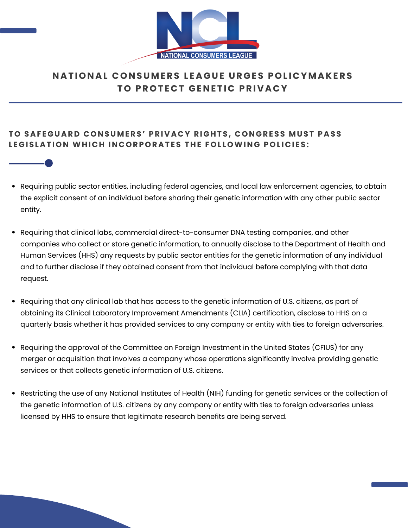

## **NA T IONA L CONS UMERS L E AGU E U RGES POL ICYMA KERS TO PROT ECT GENE T IC PRI V ACY**

## **TO S A F EGU A R D CONS UMERS' PRI V ACY RIGH TS, CONGRESS MU ST P A SS LEGISLATION WHICH INCORPORATES THE FOLLOWING POLICIES:**

- Requiring public sector entities, including federal agencies, and local law enforcement agencies, to obtain the explicit consent of an individual before sharing their genetic information with any other public sector entity.
- Requiring that clinical labs, commercial direct-to-consumer DNA testing companies, and other companies who collect or store genetic information, to annually disclose to the Department of Health and Human Services (HHS) any requests by public sector entities for the genetic information of any individual and to further disclose if they obtained consent from that individual before complying with that data request.
- Requiring that any clinical lab that has access to the genetic information of U.S. citizens, as part of obtaining its Clinical Laboratory Improvement Amendments (CLIA) certification, disclose to HHS on a quarterly basis whether it has provided services to any company or entity with ties to foreign adversaries.
- Requiring the approval of the Committee on Foreign Investment in the United States (CFIUS) for any merger or acquisition that involves a company whose operations significantly involve providing genetic services or that collects genetic information of U.S. citizens.
- Restricting the use of any National Institutes of Health (NIH) funding for genetic services or the collection of the genetic information of U.S. citizens by any company or entity with ties to foreign adversaries unless licensed by HHS to ensure that legitimate research benefits are being served.